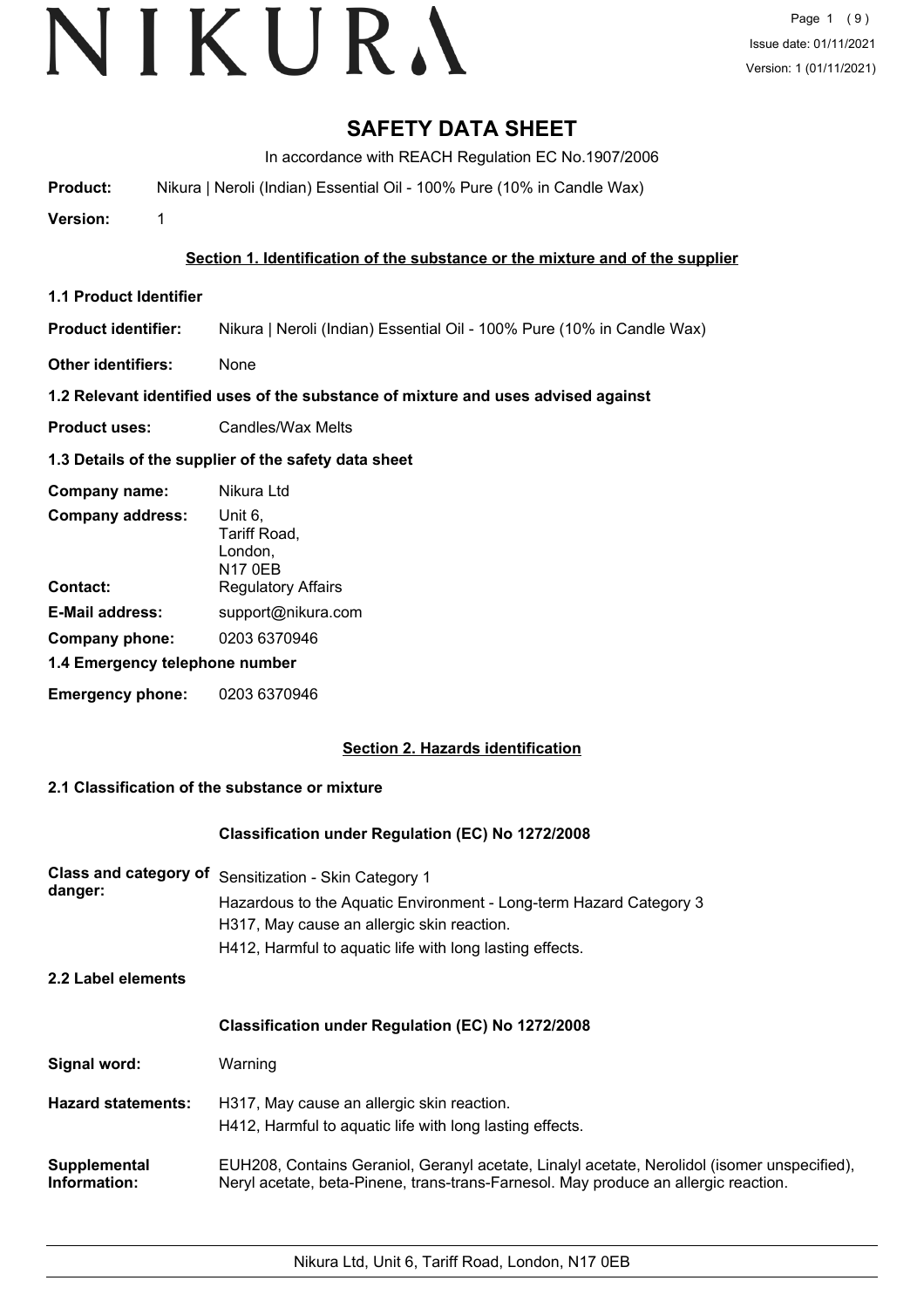## **SAFETY DATA SHEET**

In accordance with REACH Regulation EC No.1907/2006

**Product:** Nikura | Neroli (Indian) Essential Oil - 100% Pure (10% in Candle Wax)

**Version:** 1

#### **Section 1. Identification of the substance or the mixture and of the supplier**

**1.1 Product Identifier**

**Product identifier:** Nikura | Neroli (Indian) Essential Oil - 100% Pure (10% in Candle Wax)

**Other identifiers:** None

#### **1.2 Relevant identified uses of the substance of mixture and uses advised against**

**Product uses:** Candles/Wax Melts

## **1.3 Details of the supplier of the safety data sheet**

| Company name:                  | Nikura Ltd                                    |
|--------------------------------|-----------------------------------------------|
| <b>Company address:</b>        | Unit 6.<br>Tariff Road,<br>London,<br>N17 0EB |
| Contact:                       | <b>Regulatory Affairs</b>                     |
| <b>E-Mail address:</b>         | support@nikura.com                            |
| Company phone:                 | 0203 6370946                                  |
| 1.4 Emergency telephone number |                                               |
| <b>Emergency phone:</b>        | 0203 6370946                                  |

## **Section 2. Hazards identification**

## **2.1 Classification of the substance or mixture**

#### **Classification under Regulation (EC) No 1272/2008**

| Class and category of<br>danger: | Sensitization - Skin Category 1<br>Hazardous to the Aquatic Environment - Long-term Hazard Category 3<br>H317, May cause an allergic skin reaction.<br>H412, Harmful to aquatic life with long lasting effects. |
|----------------------------------|-----------------------------------------------------------------------------------------------------------------------------------------------------------------------------------------------------------------|
| 2.2 Label elements               |                                                                                                                                                                                                                 |
|                                  | <b>Classification under Regulation (EC) No 1272/2008</b>                                                                                                                                                        |
| Signal word:                     | Warning                                                                                                                                                                                                         |
| <b>Hazard statements:</b>        | H317, May cause an allergic skin reaction.<br>H412, Harmful to aquatic life with long lasting effects.                                                                                                          |
| Supplemental<br>Information:     | EUH208, Contains Geraniol, Geranyl acetate, Linalyl acetate, Nerolidol (isomer unspecified),<br>Neryl acetate, beta-Pinene, trans-trans-Farnesol. May produce an allergic reaction.                             |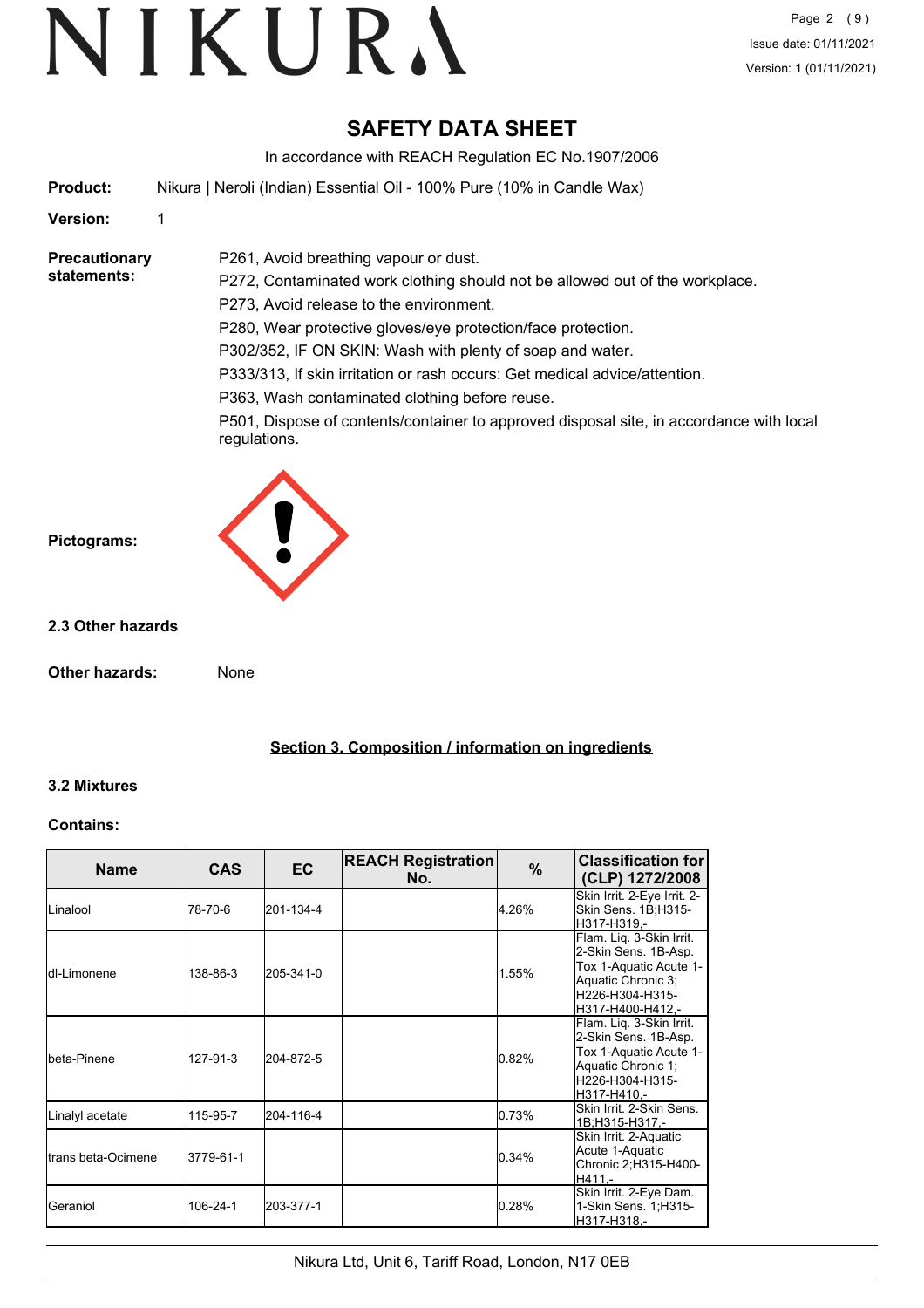## **SAFETY DATA SHEET**

In accordance with REACH Regulation EC No.1907/2006

**Product:** Nikura | Neroli (Indian) Essential Oil - 100% Pure (10% in Candle Wax)

P261, Avoid breathing vapour or dust.

#### **Version:** 1

#### **Precautionary statements:**

P272, Contaminated work clothing should not be allowed out of the workplace. P273, Avoid release to the environment. P280, Wear protective gloves/eye protection/face protection. P302/352, IF ON SKIN: Wash with plenty of soap and water. P333/313, If skin irritation or rash occurs: Get medical advice/attention. P363, Wash contaminated clothing before reuse.

P501, Dispose of contents/container to approved disposal site, in accordance with local regulations.



#### **2.3 Other hazards**

**Other hazards:** None

**Section 3. Composition / information on ingredients**

#### **3.2 Mixtures**

#### **Contains:**

| <b>Name</b>                 | <b>CAS</b> | <b>EC</b> | <b>REACH Registration</b><br>No. | %     | <b>Classification for</b><br>(CLP) 1272/2008                                                                                            |
|-----------------------------|------------|-----------|----------------------------------|-------|-----------------------------------------------------------------------------------------------------------------------------------------|
| <b>ILinalool</b>            | 78-70-6    | 201-134-4 |                                  | 4.26% | Skin Irrit. 2-Eye Irrit. 2-<br>Skin Sens. 1B;H315-<br>H317-H319.-                                                                       |
| ldI-I imonene               | 138-86-3   | 205-341-0 |                                  | 1.55% | Flam. Liq. 3-Skin Irrit.<br>2-Skin Sens. 1B-Asp.<br>Tox 1-Aquatic Acute 1-<br>Aquatic Chronic 3;<br>H226-H304-H315-<br>H317-H400-H412.- |
| Ibeta-Pinene                | 127-91-3   | 204-872-5 |                                  | 0.82% | Flam. Liq. 3-Skin Irrit.<br>2-Skin Sens. 1B-Asp.<br>Tox 1-Aquatic Acute 1-<br>Aquatic Chronic 1;<br>H226-H304-H315-<br>H317-H410.-      |
| Linalyl acetate             | 115-95-7   | 204-116-4 |                                  | 0.73% | Skin Irrit. 2-Skin Sens.<br>1B:H315-H317.-                                                                                              |
| <b>I</b> trans beta-Ocimene | 3779-61-1  |           |                                  | 0.34% | Skin Irrit. 2-Aquatic<br>Acute 1-Aquatic<br>Chronic 2; H315-H400-<br>H411.-                                                             |
| Geraniol                    | 106-24-1   | 203-377-1 |                                  | 0.28% | Skin Irrit. 2-Eye Dam.<br>1-Skin Sens. 1;H315-<br>H317-H318,-                                                                           |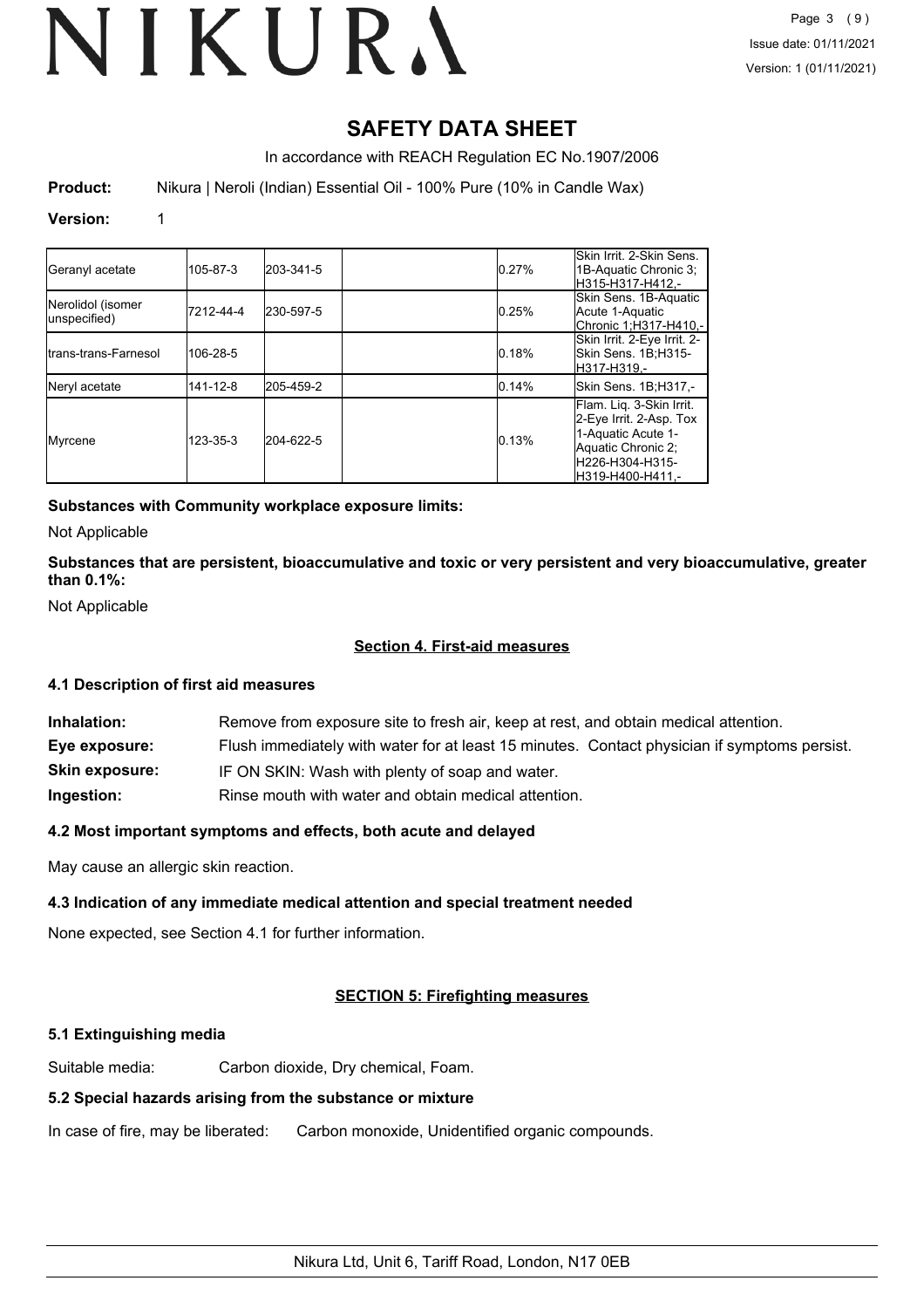# **SAFETY DATA SHEET**

In accordance with REACH Regulation EC No.1907/2006

**Product:** Nikura | Neroli (Indian) Essential Oil - 100% Pure (10% in Candle Wax)

#### **Version:** 1

| Geranyl acetate                   | 105-87-3  | 203-341-5 | 0.27% | Skin Irrit. 2-Skin Sens.<br>1B-Aquatic Chronic 3;<br>H315-H317-H412.-                                                                  |
|-----------------------------------|-----------|-----------|-------|----------------------------------------------------------------------------------------------------------------------------------------|
| Nerolidol (isomer<br>unspecified) | 7212-44-4 | 230-597-5 | 0.25% | Skin Sens. 1B-Aquatic<br>Acute 1-Aquatic<br>Chronic 1;H317-H410,-                                                                      |
| Itrans-trans-Farnesol             | 106-28-5  |           | 0.18% | Skin Irrit. 2-Eye Irrit. 2-<br>Skin Sens. 1B:H315-<br>lH317-H319.-                                                                     |
| Neryl acetate                     | 141-12-8  | 205-459-2 | 0.14% | Skin Sens. 1B;H317,-                                                                                                                   |
| Myrcene                           | 123-35-3  | 204-622-5 | 0.13% | Flam. Lig. 3-Skin Irrit.<br>2-Eye Irrit. 2-Asp. Tox<br>1-Aquatic Acute 1-<br>Aquatic Chronic 2:<br>H226-H304-H315-<br>H319-H400-H411.- |

#### **Substances with Community workplace exposure limits:**

Not Applicable

**Substances that are persistent, bioaccumulative and toxic or very persistent and very bioaccumulative, greater than 0.1%:**

Not Applicable

#### **Section 4. First-aid measures**

#### **4.1 Description of first aid measures**

| Inhalation:           | Remove from exposure site to fresh air, keep at rest, and obtain medical attention.          |
|-----------------------|----------------------------------------------------------------------------------------------|
| Eye exposure:         | Flush immediately with water for at least 15 minutes. Contact physician if symptoms persist. |
| <b>Skin exposure:</b> | IF ON SKIN: Wash with plenty of soap and water.                                              |
| Ingestion:            | Rinse mouth with water and obtain medical attention.                                         |

#### **4.2 Most important symptoms and effects, both acute and delayed**

May cause an allergic skin reaction.

#### **4.3 Indication of any immediate medical attention and special treatment needed**

None expected, see Section 4.1 for further information.

#### **SECTION 5: Firefighting measures**

#### **5.1 Extinguishing media**

Suitable media: Carbon dioxide, Dry chemical, Foam.

#### **5.2 Special hazards arising from the substance or mixture**

In case of fire, may be liberated: Carbon monoxide, Unidentified organic compounds.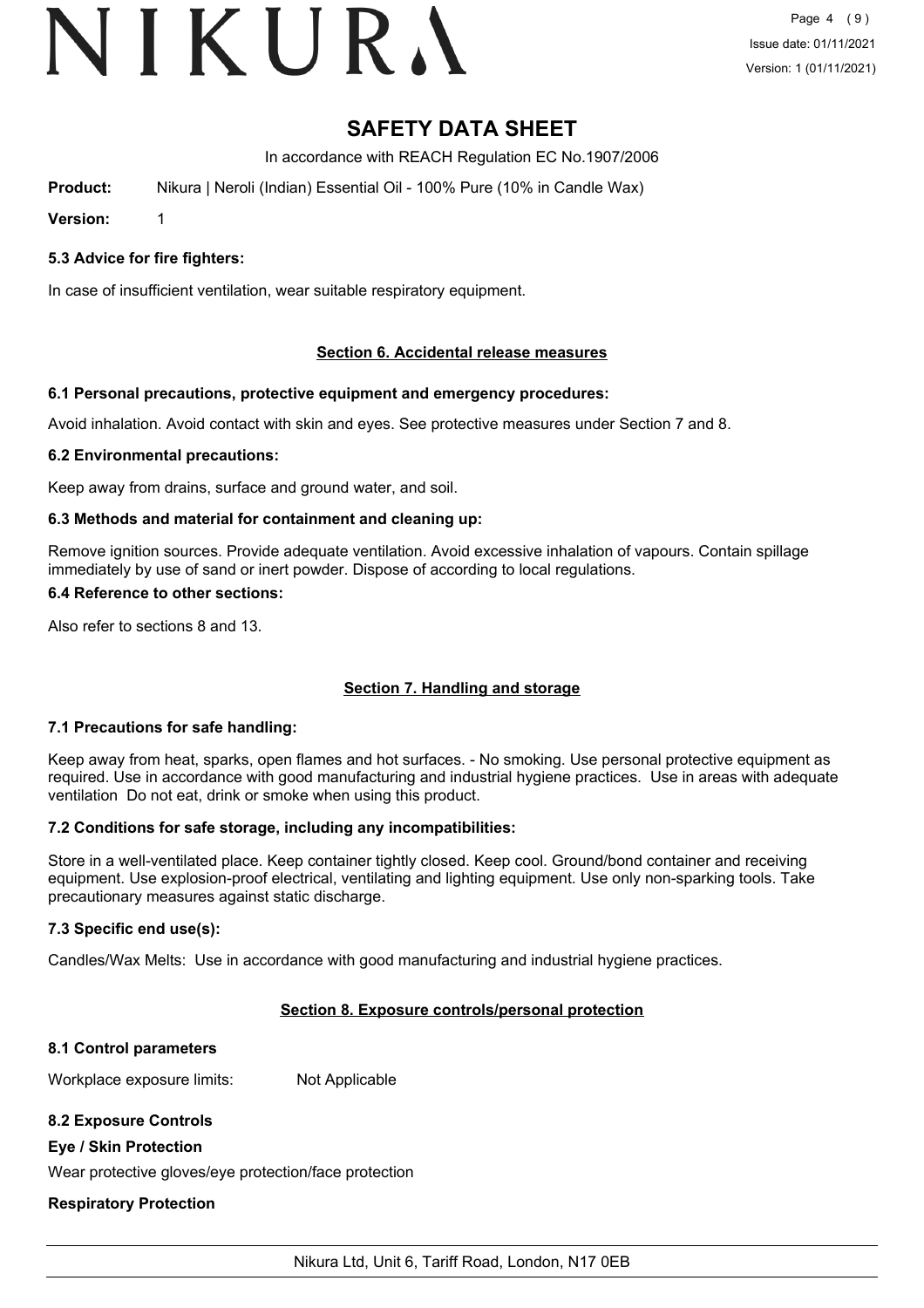# VIKURA

# **SAFETY DATA SHEET**

In accordance with REACH Regulation EC No.1907/2006

**Product:** Nikura | Neroli (Indian) Essential Oil - 100% Pure (10% in Candle Wax)

**Version:** 1

**5.3 Advice for fire fighters:**

In case of insufficient ventilation, wear suitable respiratory equipment.

#### **Section 6. Accidental release measures**

#### **6.1 Personal precautions, protective equipment and emergency procedures:**

Avoid inhalation. Avoid contact with skin and eyes. See protective measures under Section 7 and 8.

#### **6.2 Environmental precautions:**

Keep away from drains, surface and ground water, and soil.

#### **6.3 Methods and material for containment and cleaning up:**

Remove ignition sources. Provide adequate ventilation. Avoid excessive inhalation of vapours. Contain spillage immediately by use of sand or inert powder. Dispose of according to local regulations.

#### **6.4 Reference to other sections:**

Also refer to sections 8 and 13.

## **Section 7. Handling and storage**

#### **7.1 Precautions for safe handling:**

Keep away from heat, sparks, open flames and hot surfaces. - No smoking. Use personal protective equipment as required. Use in accordance with good manufacturing and industrial hygiene practices. Use in areas with adequate ventilation Do not eat, drink or smoke when using this product.

#### **7.2 Conditions for safe storage, including any incompatibilities:**

Store in a well-ventilated place. Keep container tightly closed. Keep cool. Ground/bond container and receiving equipment. Use explosion-proof electrical, ventilating and lighting equipment. Use only non-sparking tools. Take precautionary measures against static discharge.

#### **7.3 Specific end use(s):**

Candles/Wax Melts: Use in accordance with good manufacturing and industrial hygiene practices.

#### **Section 8. Exposure controls/personal protection**

#### **8.1 Control parameters**

Workplace exposure limits: Not Applicable

#### **8.2 Exposure Controls**

#### **Eye / Skin Protection**

Wear protective gloves/eye protection/face protection

#### **Respiratory Protection**

Nikura Ltd, Unit 6, Tariff Road, London, N17 0EB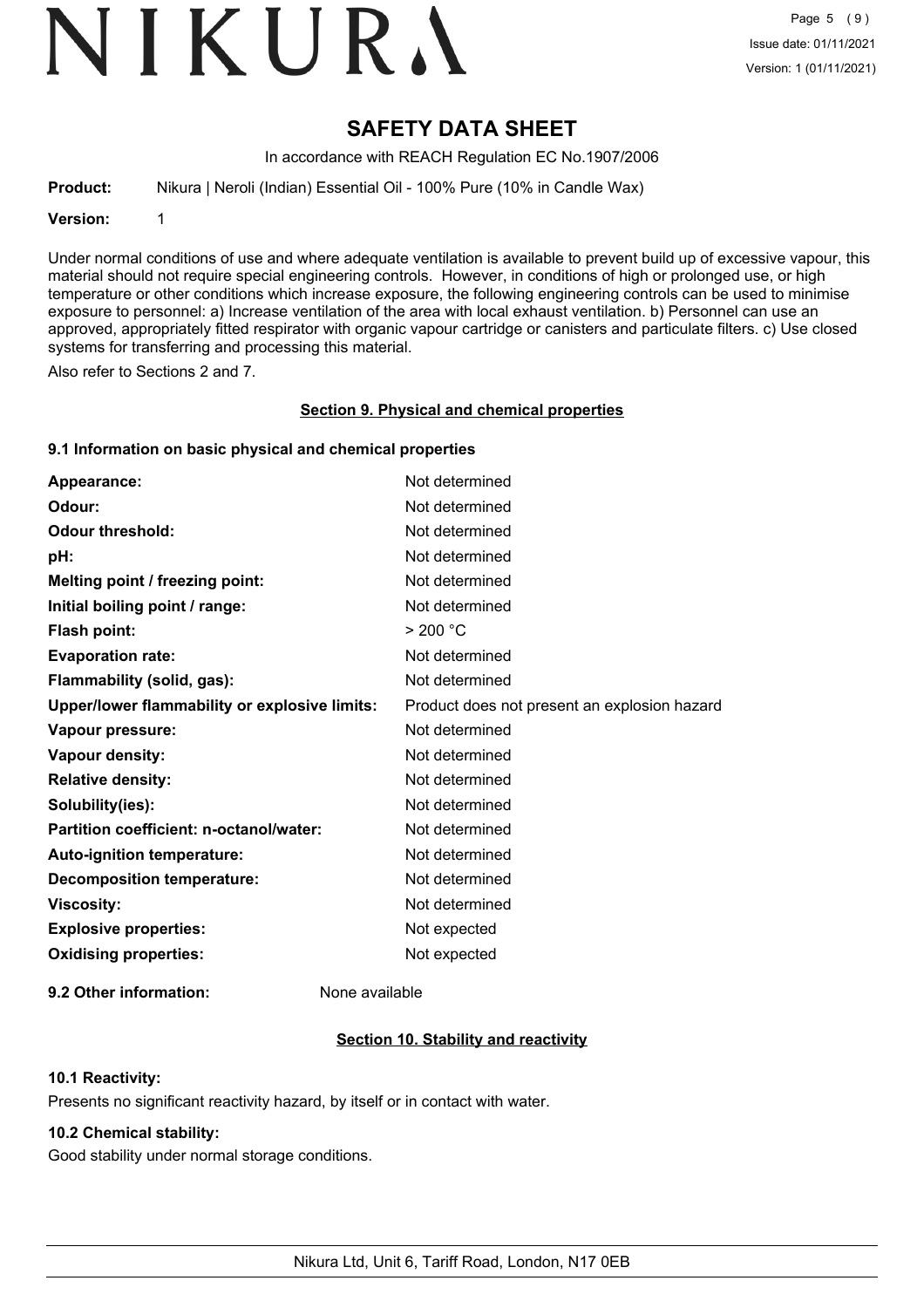# VIKURA

# **SAFETY DATA SHEET**

In accordance with REACH Regulation EC No.1907/2006

**Product:** Nikura | Neroli (Indian) Essential Oil - 100% Pure (10% in Candle Wax)

**Version:** 1

Under normal conditions of use and where adequate ventilation is available to prevent build up of excessive vapour, this material should not require special engineering controls. However, in conditions of high or prolonged use, or high temperature or other conditions which increase exposure, the following engineering controls can be used to minimise exposure to personnel: a) Increase ventilation of the area with local exhaust ventilation. b) Personnel can use an approved, appropriately fitted respirator with organic vapour cartridge or canisters and particulate filters. c) Use closed systems for transferring and processing this material.

Also refer to Sections 2 and 7.

#### **Section 9. Physical and chemical properties**

#### **9.1 Information on basic physical and chemical properties**

| Appearance:                                   | Not determined                               |
|-----------------------------------------------|----------------------------------------------|
| Odour:                                        | Not determined                               |
| <b>Odour threshold:</b>                       | Not determined                               |
| pH:                                           | Not determined                               |
| Melting point / freezing point:               | Not determined                               |
| Initial boiling point / range:                | Not determined                               |
| <b>Flash point:</b>                           | > 200 °C                                     |
| <b>Evaporation rate:</b>                      | Not determined                               |
| Flammability (solid, gas):                    | Not determined                               |
| Upper/lower flammability or explosive limits: | Product does not present an explosion hazard |
| Vapour pressure:                              | Not determined                               |
| Vapour density:                               | Not determined                               |
| <b>Relative density:</b>                      | Not determined                               |
| Solubility(ies):                              | Not determined                               |
| Partition coefficient: n-octanol/water:       | Not determined                               |
| Auto-ignition temperature:                    | Not determined                               |
| <b>Decomposition temperature:</b>             | Not determined                               |
| <b>Viscosity:</b>                             | Not determined                               |
| <b>Explosive properties:</b>                  | Not expected                                 |
| <b>Oxidising properties:</b>                  | Not expected                                 |
|                                               |                                              |

**9.2 Other information:** None available

## **Section 10. Stability and reactivity**

#### **10.1 Reactivity:**

Presents no significant reactivity hazard, by itself or in contact with water.

## **10.2 Chemical stability:**

Good stability under normal storage conditions.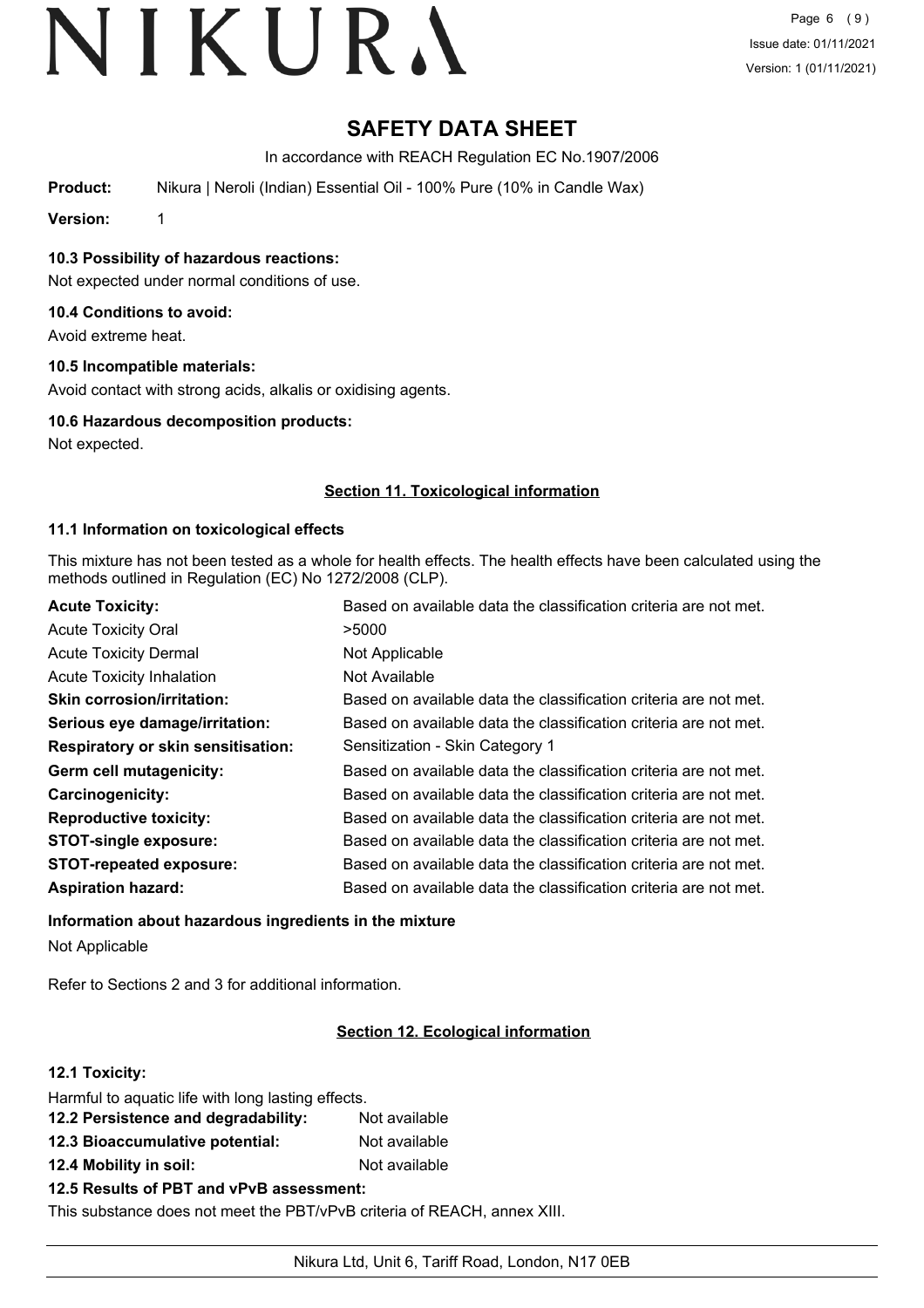# **SAFETY DATA SHEET**

In accordance with REACH Regulation EC No.1907/2006

**Product:** Nikura | Neroli (Indian) Essential Oil - 100% Pure (10% in Candle Wax)

**Version:** 1

**10.3 Possibility of hazardous reactions:**

Not expected under normal conditions of use.

#### **10.4 Conditions to avoid:**

Avoid extreme heat.

#### **10.5 Incompatible materials:**

Avoid contact with strong acids, alkalis or oxidising agents.

#### **10.6 Hazardous decomposition products:**

Not expected.

#### **Section 11. Toxicological information**

#### **11.1 Information on toxicological effects**

This mixture has not been tested as a whole for health effects. The health effects have been calculated using the methods outlined in Regulation (EC) No 1272/2008 (CLP).

| <b>Acute Toxicity:</b>                    | Based on available data the classification criteria are not met. |
|-------------------------------------------|------------------------------------------------------------------|
| <b>Acute Toxicity Oral</b>                | >5000                                                            |
| <b>Acute Toxicity Dermal</b>              | Not Applicable                                                   |
| <b>Acute Toxicity Inhalation</b>          | Not Available                                                    |
| <b>Skin corrosion/irritation:</b>         | Based on available data the classification criteria are not met. |
| Serious eye damage/irritation:            | Based on available data the classification criteria are not met. |
| <b>Respiratory or skin sensitisation:</b> | Sensitization - Skin Category 1                                  |
| Germ cell mutagenicity:                   | Based on available data the classification criteria are not met. |
| <b>Carcinogenicity:</b>                   | Based on available data the classification criteria are not met. |
| <b>Reproductive toxicity:</b>             | Based on available data the classification criteria are not met. |
| <b>STOT-single exposure:</b>              | Based on available data the classification criteria are not met. |
| <b>STOT-repeated exposure:</b>            | Based on available data the classification criteria are not met. |
| <b>Aspiration hazard:</b>                 | Based on available data the classification criteria are not met. |

## **Information about hazardous ingredients in the mixture** Not Applicable

Refer to Sections 2 and 3 for additional information.

## **Section 12. Ecological information**

## **12.1 Toxicity:**

| Harmful to aquatic life with long lasting effects. |               |
|----------------------------------------------------|---------------|
| 12.2 Persistence and degradability:                | Not available |
| 12.3 Bioaccumulative potential:                    | Not available |
| 12.4 Mobility in soil:                             | Not available |
| 12.5 Results of PBT and vPvB assessment:           |               |

This substance does not meet the PBT/vPvB criteria of REACH, annex XIII.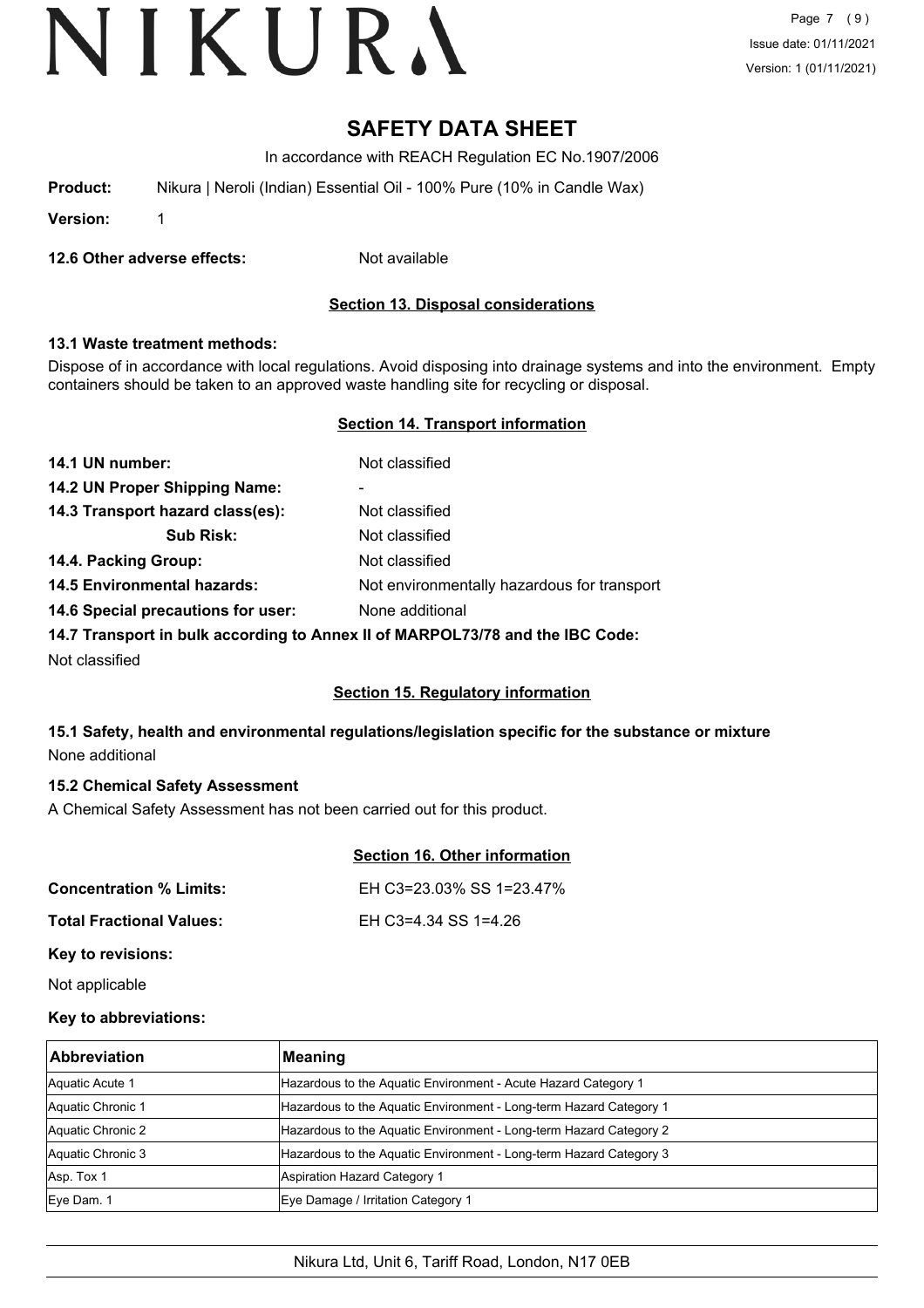Page 7 (9) Issue date: 01/11/2021 Version: 1 (01/11/2021)

## **SAFETY DATA SHEET**

In accordance with REACH Regulation EC No.1907/2006

**Product:** Nikura | Neroli (Indian) Essential Oil - 100% Pure (10% in Candle Wax)

**Version:** 1

**12.6 Other adverse effects:** Not available

### **Section 13. Disposal considerations**

#### **13.1 Waste treatment methods:**

Dispose of in accordance with local regulations. Avoid disposing into drainage systems and into the environment. Empty containers should be taken to an approved waste handling site for recycling or disposal.

#### **Section 14. Transport information**

| 14.1 UN number:                    | Not classified                              |
|------------------------------------|---------------------------------------------|
| 14.2 UN Proper Shipping Name:      | -                                           |
| 14.3 Transport hazard class(es):   | Not classified                              |
| <b>Sub Risk:</b>                   | Not classified                              |
| 14.4. Packing Group:               | Not classified                              |
| <b>14.5 Environmental hazards:</b> | Not environmentally hazardous for transport |
| 14.6 Special precautions for user: | None additional                             |
|                                    |                                             |

**14.7 Transport in bulk according to Annex II of MARPOL73/78 and the IBC Code:**

Not classified

## **Section 15. Regulatory information**

## **15.1 Safety, health and environmental regulations/legislation specific for the substance or mixture** None additional

#### **15.2 Chemical Safety Assessment**

A Chemical Safety Assessment has not been carried out for this product.

#### **Section 16. Other information**

| <b>Concentration % Limits:</b>  | EH C3=23.03% SS 1=23.47% |
|---------------------------------|--------------------------|
| <b>Total Fractional Values:</b> | EH C3=4.34 SS 1=4.26     |

#### **Key to revisions:**

Not applicable

#### **Key to abbreviations:**

| <b>Abbreviation</b> | Meaning                                                            |
|---------------------|--------------------------------------------------------------------|
| Aquatic Acute 1     | Hazardous to the Aquatic Environment - Acute Hazard Category 1     |
| Aquatic Chronic 1   | Hazardous to the Aquatic Environment - Long-term Hazard Category 1 |
| Aquatic Chronic 2   | Hazardous to the Aquatic Environment - Long-term Hazard Category 2 |
| Aquatic Chronic 3   | Hazardous to the Aquatic Environment - Long-term Hazard Category 3 |
| Asp. Tox 1          | Aspiration Hazard Category 1                                       |
| Eye Dam. 1          | Eye Damage / Irritation Category 1                                 |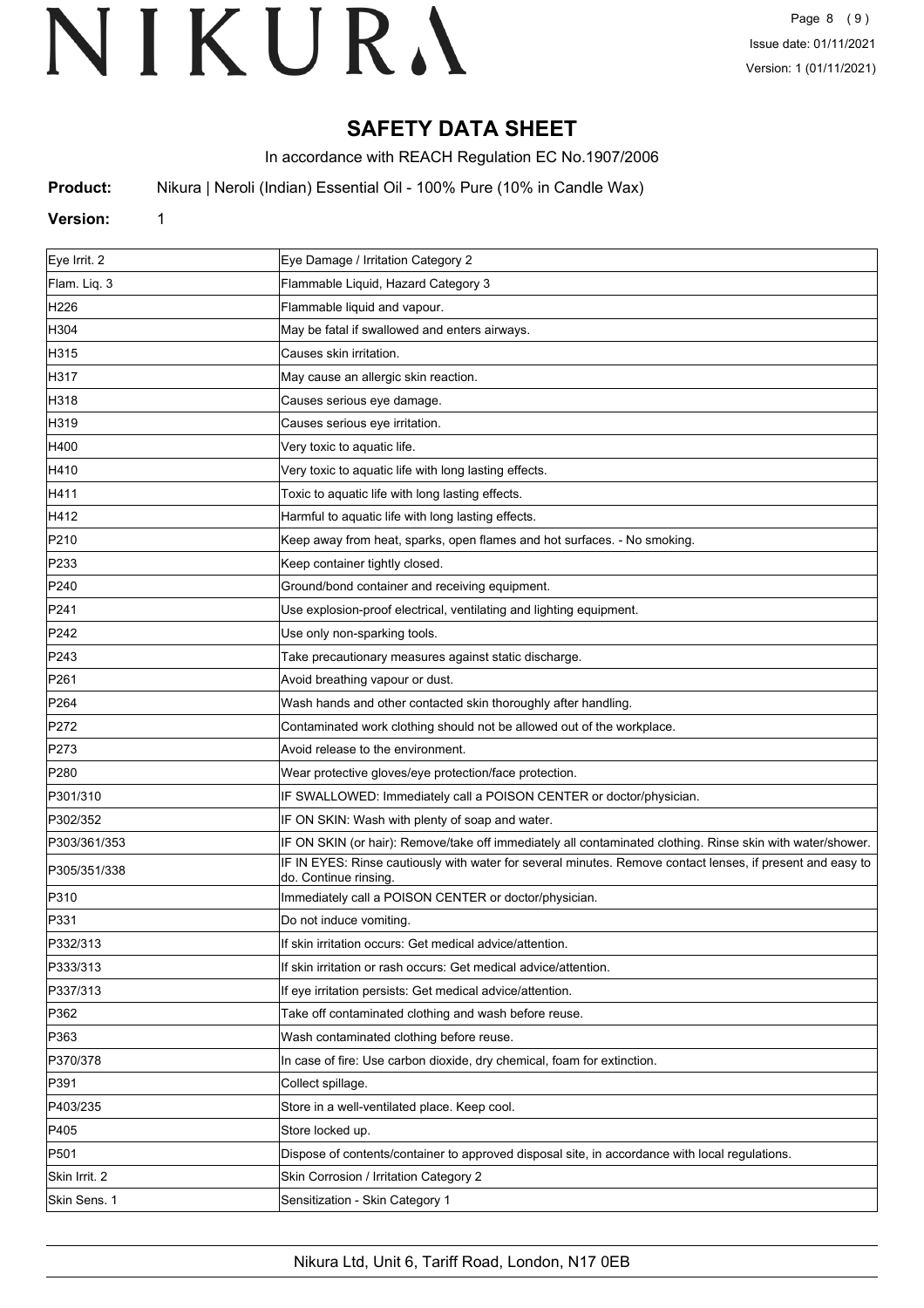# **SAFETY DATA SHEET**

In accordance with REACH Regulation EC No.1907/2006

**Product:** Nikura | Neroli (Indian) Essential Oil - 100% Pure (10% in Candle Wax)

#### **Version:** 1

| Eye Irrit. 2     | Eye Damage / Irritation Category 2                                                                                                 |
|------------------|------------------------------------------------------------------------------------------------------------------------------------|
| Flam. Liq. 3     | Flammable Liquid, Hazard Category 3                                                                                                |
| H226             | Flammable liquid and vapour.                                                                                                       |
| H304             | May be fatal if swallowed and enters airways.                                                                                      |
| H315             | Causes skin irritation.                                                                                                            |
| H317             | May cause an allergic skin reaction.                                                                                               |
| H318             | Causes serious eye damage.                                                                                                         |
| H319             | Causes serious eye irritation.                                                                                                     |
| H400             | Very toxic to aquatic life.                                                                                                        |
| H410             | Very toxic to aquatic life with long lasting effects.                                                                              |
| H411             | Toxic to aquatic life with long lasting effects.                                                                                   |
| H412             | Harmful to aquatic life with long lasting effects.                                                                                 |
| P210             | Keep away from heat, sparks, open flames and hot surfaces. - No smoking.                                                           |
| P233             | Keep container tightly closed.                                                                                                     |
| P240             | Ground/bond container and receiving equipment.                                                                                     |
| P241             | Use explosion-proof electrical, ventilating and lighting equipment.                                                                |
| P242             | Use only non-sparking tools.                                                                                                       |
| P243             | Take precautionary measures against static discharge.                                                                              |
| P261             | Avoid breathing vapour or dust.                                                                                                    |
| P <sub>264</sub> | Wash hands and other contacted skin thoroughly after handling.                                                                     |
| P272             | Contaminated work clothing should not be allowed out of the workplace.                                                             |
| P273             | Avoid release to the environment.                                                                                                  |
| P280             | Wear protective gloves/eye protection/face protection.                                                                             |
| P301/310         | IF SWALLOWED: Immediately call a POISON CENTER or doctor/physician.                                                                |
| P302/352         | IF ON SKIN: Wash with plenty of soap and water.                                                                                    |
| P303/361/353     | IF ON SKIN (or hair): Remove/take off immediately all contaminated clothing. Rinse skin with water/shower.                         |
| P305/351/338     | IF IN EYES: Rinse cautiously with water for several minutes. Remove contact lenses, if present and easy to<br>do. Continue rinsing |
| P310             | Immediately call a POISON CENTER or doctor/physician.                                                                              |
| P331             | Do not induce vomiting.                                                                                                            |
| P332/313         | If skin irritation occurs: Get medical advice/attention.                                                                           |
| P333/313         | If skin irritation or rash occurs: Get medical advice/attention.                                                                   |
| P337/313         | If eye irritation persists: Get medical advice/attention.                                                                          |
| P362             | Take off contaminated clothing and wash before reuse.                                                                              |
| P363             | Wash contaminated clothing before reuse.                                                                                           |
| P370/378         | In case of fire: Use carbon dioxide, dry chemical, foam for extinction.                                                            |
| P391             | Collect spillage.                                                                                                                  |
| P403/235         | Store in a well-ventilated place. Keep cool.                                                                                       |
| P405             | Store locked up.                                                                                                                   |
| P501             | Dispose of contents/container to approved disposal site, in accordance with local regulations.                                     |
| Skin Irrit. 2    | Skin Corrosion / Irritation Category 2                                                                                             |
| Skin Sens. 1     | Sensitization - Skin Category 1                                                                                                    |